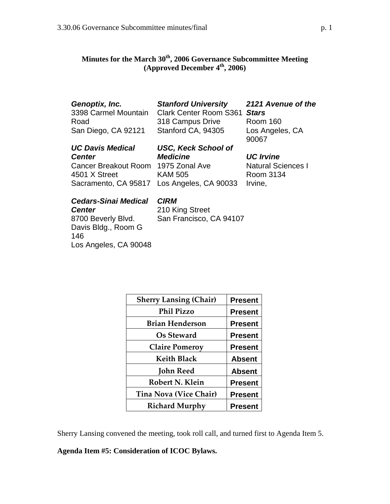146

Los Angeles, CA 90048

# **Minutes for the March 30th, 2006 Governance Subcommittee Meeting (Approved December 4th, 2006)**

| Genoptix, Inc.<br>3398 Carmel Mountain | <b>Stanford University</b><br><b>Clark Center Room S361</b> | 2121 Avenue of the<br><b>Stars</b> |
|----------------------------------------|-------------------------------------------------------------|------------------------------------|
| Road                                   | 318 Campus Drive                                            | Room 160                           |
| San Diego, CA 92121                    | Stanford CA, 94305                                          | Los Angeles, CA<br>90067           |
| <b>UC Davis Medical</b>                | <b>USC, Keck School of</b>                                  |                                    |
| <b>Center</b>                          | <b>Medicine</b>                                             | <b>UC</b> Irvine                   |
| Cancer Breakout Room 1975 Zonal Ave    |                                                             | <b>Natural Sciences I</b>          |
| 4501 X Street                          | <b>KAM 505</b>                                              | Room 3134                          |
|                                        | Sacramento, CA 95817 Los Angeles, CA 90033                  | Irvine,                            |
| <b>Cedars-Sinai Medical</b>            | <b>CIRM</b>                                                 |                                    |
| <b>Center</b>                          | 210 King Street                                             |                                    |
| 8700 Beverly Blvd.                     | San Francisco, CA 94107                                     |                                    |
| Davis Bldg., Room G                    |                                                             |                                    |

| <b>Sherry Lansing (Chair)</b> | <b>Present</b> |
|-------------------------------|----------------|
| <b>Phil Pizzo</b>             | <b>Present</b> |
| <b>Brian Henderson</b>        | <b>Present</b> |
| Os Steward                    | <b>Present</b> |
| <b>Claire Pomeroy</b>         | <b>Present</b> |
| <b>Keith Black</b>            | <b>Absent</b>  |
| <b>John Reed</b>              | <b>Absent</b>  |
| Robert N. Klein               | <b>Present</b> |
| <b>Tina Nova (Vice Chair)</b> | <b>Present</b> |
| <b>Richard Murphy</b>         | <b>Present</b> |

Sherry Lansing convened the meeting, took roll call, and turned first to Agenda Item 5.

**Agenda Item #5: Consideration of ICOC Bylaws.**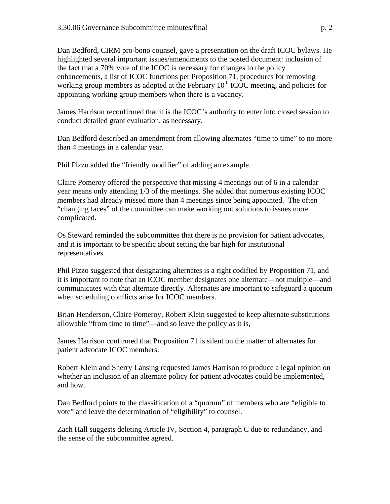Dan Bedford, CIRM pro-bono counsel, gave a presentation on the draft ICOC bylaws. He highlighted several important issues/amendments to the posted document: inclusion of the fact that a 70% vote of the ICOC is necessary for changes to the policy enhancements, a list of ICOC functions per Proposition 71, procedures for removing working group members as adopted at the February  $10<sup>th</sup>$  ICOC meeting, and policies for appointing working group members when there is a vacancy.

James Harrison reconfirmed that it is the ICOC's authority to enter into closed session to conduct detailed grant evaluation, as necessary.

Dan Bedford described an amendment from allowing alternates "time to time" to no more than 4 meetings in a calendar year.

Phil Pizzo added the "friendly modifier" of adding an example.

Claire Pomeroy offered the perspective that missing 4 meetings out of 6 in a calendar year means only attending 1/3 of the meetings. She added that numerous existing ICOC members had already missed more than 4 meetings since being appointed. The often "changing faces" of the committee can make working out solutions to issues more complicated.

Os Steward reminded the subcommittee that there is no provision for patient advocates, and it is important to be specific about setting the bar high for institutional representatives.

Phil Pizzo suggested that designating alternates is a right codified by Proposition 71, and it is important to note that an ICOC member designates one alternate—not multiple—and communicates with that alternate directly. Alternates are important to safeguard a quorum when scheduling conflicts arise for ICOC members.

Brian Henderson, Claire Pomeroy, Robert Klein suggested to keep alternate substitutions allowable "from time to time"—and so leave the policy as it is,

James Harrison confirmed that Proposition 71 is silent on the matter of alternates for patient advocate ICOC members.

Robert Klein and Sherry Lansing requested James Harrison to produce a legal opinion on whether an inclusion of an alternate policy for patient advocates could be implemented, and how.

Dan Bedford points to the classification of a "quorum" of members who are "eligible to vote" and leave the determination of "eligibility" to counsel.

Zach Hall suggests deleting Article IV, Section 4, paragraph C due to redundancy, and the sense of the subcommittee agreed.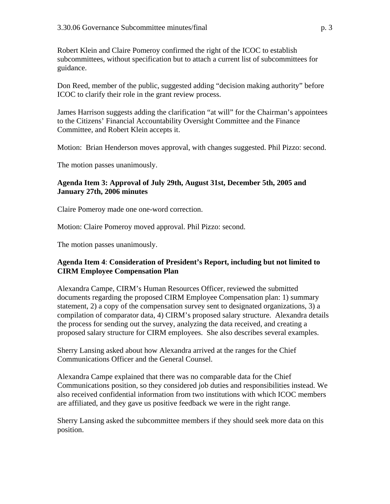Robert Klein and Claire Pomeroy confirmed the right of the ICOC to establish subcommittees, without specification but to attach a current list of subcommittees for guidance.

Don Reed, member of the public, suggested adding "decision making authority" before ICOC to clarify their role in the grant review process.

James Harrison suggests adding the clarification "at will" for the Chairman's appointees to the Citizens' Financial Accountability Oversight Committee and the Finance Committee, and Robert Klein accepts it.

Motion: Brian Henderson moves approval, with changes suggested. Phil Pizzo: second.

The motion passes unanimously.

## **Agenda Item 3: Approval of [July 29th,](http://www.cirm.ca.gov/meetings/pdf/2006/03/033006_item_3a.pdf) [August 31st](http://www.cirm.ca.gov/meetings/pdf/2006/01/012706_item_3b.pdf), [December 5th,](http://www.cirm.ca.gov/meetings/pdf/2006/03/033006_item_3c.pdf) 2005 and [January 27th, 2006](http://www.cirm.ca.gov/meetings/pdf/2006/03/033006_item_3d.pdf) minutes**

Claire Pomeroy made one one-word correction.

Motion: Claire Pomeroy moved approval. Phil Pizzo: second.

The motion passes unanimously.

#### **Agenda Item 4**: **Consideration of President's Report, including but not limited to [CIRM Employee Compensation Plan](http://www.cirm.ca.gov/meetings/pdf/2006/03/033006_item_4.pdf)**

Alexandra Campe, CIRM's Human Resources Officer, reviewed the submitted documents regarding the proposed CIRM Employee Compensation plan: 1) summary statement, 2) a copy of the compensation survey sent to designated organizations, 3) a compilation of comparator data, 4) CIRM's proposed salary structure. Alexandra details the process for sending out the survey, analyzing the data received, and creating a proposed salary structure for CIRM employees. She also describes several examples.

Sherry Lansing asked about how Alexandra arrived at the ranges for the Chief Communications Officer and the General Counsel.

Alexandra Campe explained that there was no comparable data for the Chief Communications position, so they considered job duties and responsibilities instead. We also received confidential information from two institutions with which ICOC members are affiliated, and they gave us positive feedback we were in the right range.

Sherry Lansing asked the subcommittee members if they should seek more data on this position.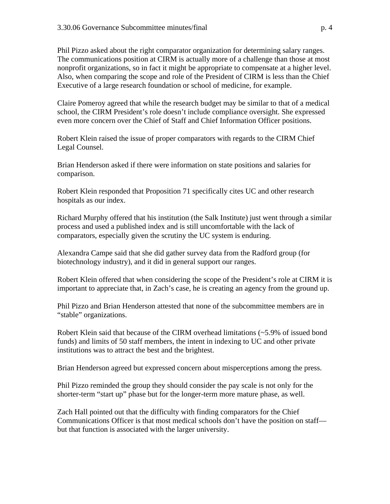Phil Pizzo asked about the right comparator organization for determining salary ranges. The communications position at CIRM is actually more of a challenge than those at most nonprofit organizations, so in fact it might be appropriate to compensate at a higher level. Also, when comparing the scope and role of the President of CIRM is less than the Chief Executive of a large research foundation or school of medicine, for example.

Claire Pomeroy agreed that while the research budget may be similar to that of a medical school, the CIRM President's role doesn't include compliance oversight. She expressed even more concern over the Chief of Staff and Chief Information Officer positions.

Robert Klein raised the issue of proper comparators with regards to the CIRM Chief Legal Counsel.

Brian Henderson asked if there were information on state positions and salaries for comparison.

Robert Klein responded that Proposition 71 specifically cites UC and other research hospitals as our index.

Richard Murphy offered that his institution (the Salk Institute) just went through a similar process and used a published index and is still uncomfortable with the lack of comparators, especially given the scrutiny the UC system is enduring.

Alexandra Campe said that she did gather survey data from the Radford group (for biotechnology industry), and it did in general support our ranges.

Robert Klein offered that when considering the scope of the President's role at CIRM it is important to appreciate that, in Zach's case, he is creating an agency from the ground up.

Phil Pizzo and Brian Henderson attested that none of the subcommittee members are in "stable" organizations.

Robert Klein said that because of the CIRM overhead limitations (~5.9% of issued bond funds) and limits of 50 staff members, the intent in indexing to UC and other private institutions was to attract the best and the brightest.

Brian Henderson agreed but expressed concern about misperceptions among the press.

Phil Pizzo reminded the group they should consider the pay scale is not only for the shorter-term "start up" phase but for the longer-term more mature phase, as well.

Zach Hall pointed out that the difficulty with finding comparators for the Chief Communications Officer is that most medical schools don't have the position on staff but that function is associated with the larger university.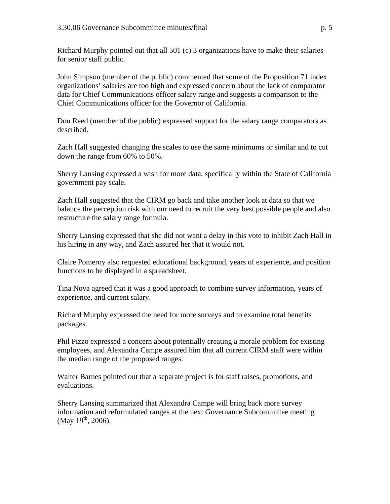Richard Murphy pointed out that all 501 (c) 3 organizations have to make their salaries for senior staff public.

John Simpson (member of the public) commented that some of the Proposition 71 index organizations' salaries are too high and expressed concern about the lack of comparator data for Chief Communications officer salary range and suggests a comparison to the Chief Communications officer for the Governor of California.

Don Reed (member of the public) expressed support for the salary range comparators as described.

Zach Hall suggested changing the scales to use the same minimums or similar and to cut down the range from 60% to 50%.

Sherry Lansing expressed a wish for more data, specifically within the State of California government pay scale.

Zach Hall suggested that the CIRM go back and take another look at data so that we balance the perception risk with our need to recruit the very best possible people and also restructure the salary range formula.

Sherry Lansing expressed that she did not want a delay in this vote to inhibit Zach Hall in his hiring in any way, and Zach assured her that it would not.

Claire Pomeroy also requested educational background, years of experience, and position functions to be displayed in a spreadsheet.

Tina Nova agreed that it was a good approach to combine survey information, years of experience, and current salary.

Richard Murphy expressed the need for more surveys and to examine total benefits packages.

Phil Pizzo expressed a concern about potentially creating a morale problem for existing employees, and Alexandra Campe assured him that all current CIRM staff were within the median range of the proposed ranges.

Walter Barnes pointed out that a separate project is for staff raises, promotions, and evaluations.

Sherry Lansing summarized that Alexandra Campe will bring back more survey information and reformulated ranges at the next Governance Subcommittee meeting  $(May 19<sup>th</sup>, 2006).$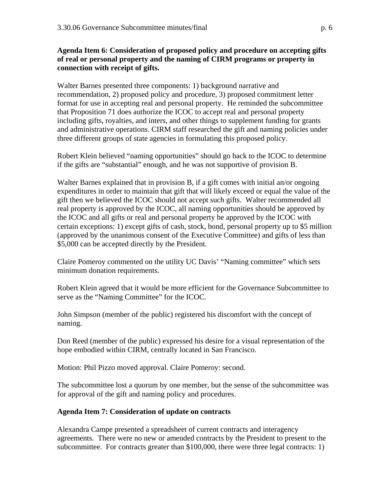## **Agenda Item 6: Consideration of [proposed policy and procedure on accepting gifts](http://www.cirm.ca.gov/meetings/pdf/2006/03/033006_item_6.pdf)  [of real or personal property and the naming of CIRM programs or property](http://www.cirm.ca.gov/meetings/pdf/2006/03/033006_item_6.pdf) in connection with receipt of gifts.**

Walter Barnes presented three components: 1) background narrative and recommendation, 2) proposed policy and procedure, 3) proposed commitment letter format for use in accepting real and personal property. He reminded the subcommittee that Proposition 71 does authorize the ICOC to accept real and personal property including gifts, royalties, and inters, and other things to supplement funding for grants and administrative operations. CIRM staff researched the gift and naming policies under three different groups of state agencies in formulating this proposed policy.

Robert Klein believed "naming opportunities" should go back to the ICOC to determine if the gifts are "substantial" enough, and he was not supportive of provision B.

Walter Barnes explained that in provision B, if a gift comes with initial an/or ongoing expenditures in order to maintain that gift that will likely exceed or equal the value of the gift then we believed the ICOC should not accept such gifts. Walter recommended all real property is approved by the ICOC, all naming opportunities should be approved by the ICOC and all gifts or real and personal property be approved by the ICOC with certain exceptions: 1) except gifts of cash, stock, bond, personal property up to \$5 million (approved by the unanimous consent of the Executive Committee) and gifts of less than \$5,000 can be accepted directly by the President.

Claire Pomeroy commented on the utility UC Davis' "Naming committee" which sets minimum donation requirements.

Robert Klein agreed that it would be more efficient for the Governance Subcommittee to serve as the "Naming Committee" for the ICOC.

John Simpson (member of the public) registered his discomfort with the concept of naming.

Don Reed (member of the public) expressed his desire for a visual representation of the hope embodied within CIRM, centrally located in San Francisco.

Motion: Phil Pizzo moved approval. Claire Pomeroy: second.

The subcommittee lost a quorum by one member, but the sense of the subcommittee was for approval of the gift and naming policy and procedures.

# **Agenda Item 7: Consideration of [update on contracts](http://www.cirm.ca.gov/meetings/pdf/2006/03/033006_item_7.pdf)**

Alexandra Campe presented a spreadsheet of current contracts and interagency agreements. There were no new or amended contracts by the President to present to the subcommittee. For contracts greater than \$100,000, there were three legal contracts: 1)